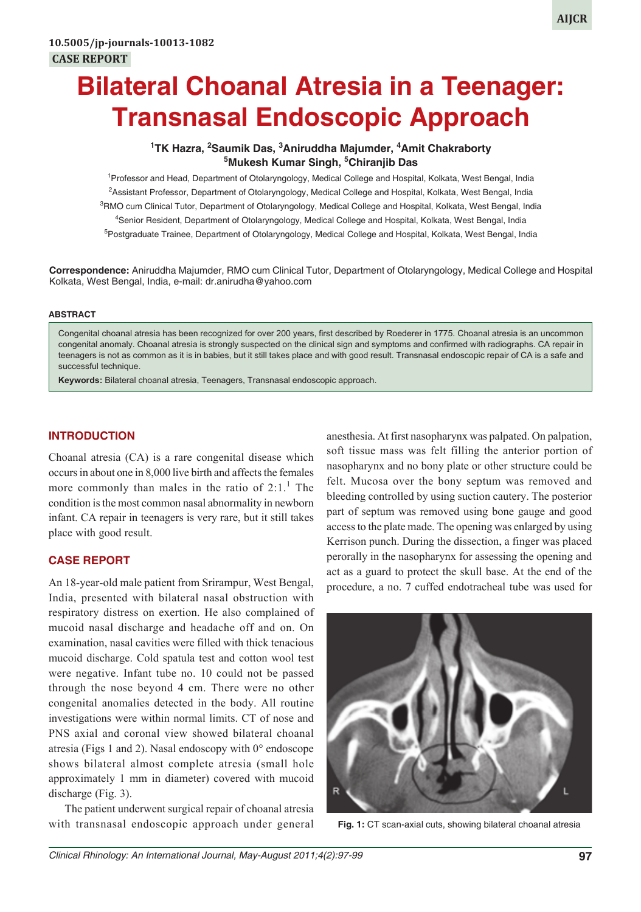# **Bilateral Choanal Atresia in a Teenager: Transnasal Endoscopic Approach**

## **1 TK Hazra, <sup>2</sup> Saumik Das, 3 Aniruddha Majumder, 4 Amit Chakraborty 5 Mukesh Kumar Singh, 5 Chiranjib Das**

<sup>1</sup> Professor and Head, Department of Otolaryngology, Medical College and Hospital, Kolkata, West Bengal, India 2 Assistant Professor, Department of Otolaryngology, Medical College and Hospital, Kolkata, West Bengal, India <sup>3</sup>RMO cum Clinical Tutor, Department of Otolaryngology, Medical College and Hospital, Kolkata, West Bengal, India 4 Senior Resident, Department of Otolaryngology, Medical College and Hospital, Kolkata, West Bengal, India <sup>5</sup>Postgraduate Trainee, Department of Otolaryngology, Medical College and Hospital, Kolkata, West Bengal, India

**Correspondence:** Aniruddha Majumder, RMO cum Clinical Tutor, Department of Otolaryngology, Medical College and Hospital Kolkata, West Bengal, India, e-mail: dr.anirudha@yahoo.com

#### **ABSTRACT**

Congenital choanal atresia has been recognized for over 200 years, first described by Roederer in 1775. Choanal atresia is an uncommon congenital anomaly. Choanal atresia is strongly suspected on the clinical sign and symptoms and confirmed with radiographs. CA repair in teenagers is not as common as it is in babies, but it still takes place and with good result. Transnasal endoscopic repair of CA is a safe and successful technique.

**Keywords:** Bilateral choanal atresia, Teenagers, Transnasal endoscopic approach.

## **INTRODUCTION**

Choanal atresia (CA) is a rare congenital disease which occurs in about one in 8,000 live birth and affects the females more commonly than males in the ratio of  $2:1$ .<sup>1</sup> The condition is the most common nasal abnormality in newborn infant. CA repair in teenagers is very rare, but it still takes place with good result.

### **CASE REPORT**

An 18-year-old male patient from Srirampur, West Bengal, India, presented with bilateral nasal obstruction with respiratory distress on exertion. He also complained of mucoid nasal discharge and headache off and on. On examination, nasal cavities were filled with thick tenacious mucoid discharge. Cold spatula test and cotton wool test were negative. Infant tube no. 10 could not be passed through the nose beyond 4 cm. There were no other congenital anomalies detected in the body. All routine investigations were within normal limits. CT of nose and PNS axial and coronal view showed bilateral choanal atresia (Figs 1 and 2). Nasal endoscopy with  $0^{\circ}$  endoscope shows bilateral almost complete atresia (small hole approximately 1 mm in diameter) covered with mucoid discharge (Fig. 3).

The patient underwent surgical repair of choanal atresia with transnasal endoscopic approach under general

anesthesia. At first nasopharynx was palpated. On palpation, soft tissue mass was felt filling the anterior portion of nasopharynx and no bony plate or other structure could be felt. Mucosa over the bony septum was removed and bleeding controlled by using suction cautery. The posterior part of septum was removed using bone gauge and good access to the plate made. The opening was enlarged by using Kerrison punch. During the dissection, a finger was placed perorally in the nasopharynx for assessing the opening and act as a guard to protect the skull base. At the end of the procedure, a no. 7 cuffed endotracheal tube was used for



**Fig. 1:** CT scan-axial cuts, showing bilateral choanal atresia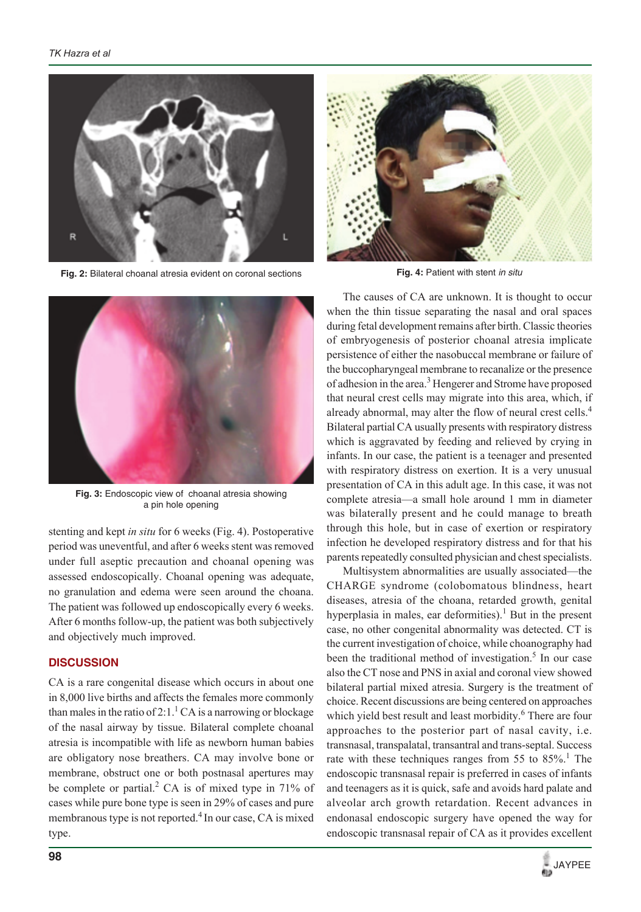

**Fig. 2:** Bilateral choanal atresia evident on coronal sections



**Fig. 3:** Endoscopic view of choanal atresia showing a pin hole opening

stenting and kept *in situ* for 6 weeks (Fig. 4). Postoperative period was uneventful, and after 6 weeks stent was removed under full aseptic precaution and choanal opening was assessed endoscopically. Choanal opening was adequate, no granulation and edema were seen around the choana. The patient was followed up endoscopically every 6 weeks. After 6 months follow-up, the patient was both subjectively and objectively much improved.

#### **DISCUSSION**

CA is a rare congenital disease which occurs in about one in 8,000 live births and affects the females more commonly than males in the ratio of 2:1.<sup>1</sup> CA is a narrowing or blockage of the nasal airway by tissue. Bilateral complete choanal atresia is incompatible with life as newborn human babies are obligatory nose breathers. CA may involve bone or membrane, obstruct one or both postnasal apertures may be complete or partial.<sup>2</sup> CA is of mixed type in 71% of cases while pure bone type is seen in 29% of cases and pure membranous type is not reported.<sup>4</sup> In our case, CA is mixed type.



**Fig. 4:** Patient with stent *in situ*

The causes of CA are unknown. It is thought to occur when the thin tissue separating the nasal and oral spaces during fetal development remains after birth. Classic theories of embryogenesis of posterior choanal atresia implicate persistence of either the nasobuccal membrane or failure of the buccopharyngeal membrane to recanalize or the presence of adhesion in the area.<sup>3</sup> Hengerer and Strome have proposed that neural crest cells may migrate into this area, which, if already abnormal, may alter the flow of neural crest cells.<sup>4</sup> Bilateral partial CA usually presents with respiratory distress which is aggravated by feeding and relieved by crying in infants. In our case, the patient is a teenager and presented with respiratory distress on exertion. It is a very unusual presentation of CA in this adult age. In this case, it was not complete atresia—a small hole around 1 mm in diameter was bilaterally present and he could manage to breath through this hole, but in case of exertion or respiratory infection he developed respiratory distress and for that his parents repeatedly consulted physician and chest specialists.

Multisystem abnormalities are usually associated—the CHARGE syndrome (colobomatous blindness, heart diseases, atresia of the choana, retarded growth, genital hyperplasia in males, ear deformities).<sup>1</sup> But in the present case, no other congenital abnormality was detected. CT is the current investigation of choice, while choanography had been the traditional method of investigation.<sup>5</sup> In our case also the CT nose and PNS in axial and coronal view showed bilateral partial mixed atresia. Surgery is the treatment of choice. Recent discussions are being centered on approaches which yield best result and least morbidity.<sup>6</sup> There are four approaches to the posterior part of nasal cavity, i.e. transnasal, transpalatal, transantral and trans-septal. Success rate with these techniques ranges from 55 to  $85\%$ <sup>1</sup>. The endoscopic transnasal repair is preferred in cases of infants and teenagers as it is quick, safe and avoids hard palate and alveolar arch growth retardation. Recent advances in endonasal endoscopic surgery have opened the way for endoscopic transnasal repair of CA as it provides excellent